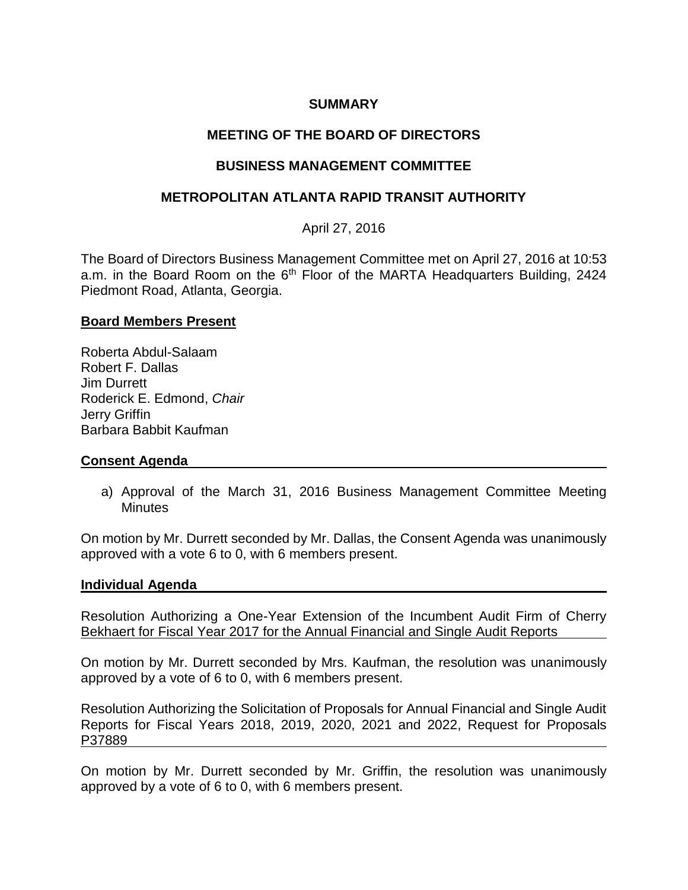## **SUMMARY**

# **MEETING OF THE BOARD OF DIRECTORS**

## **BUSINESS MANAGEMENT COMMITTEE**

## **METROPOLITAN ATLANTA RAPID TRANSIT AUTHORITY**

April 27, 2016

The Board of Directors Business Management Committee met on April 27, 2016 at 10:53 a.m. in the Board Room on the 6<sup>th</sup> Floor of the MARTA Headquarters Building, 2424 Piedmont Road, Atlanta, Georgia.

#### **Board Members Present**

Roberta Abdul-Salaam Robert F. Dallas Jim Durrett Roderick E. Edmond, *Chair* Jerry Griffin Barbara Babbit Kaufman

### **Consent Agenda**

a) Approval of the March 31, 2016 Business Management Committee Meeting **Minutes** 

On motion by Mr. Durrett seconded by Mr. Dallas, the Consent Agenda was unanimously approved with a vote 6 to 0, with 6 members present.

#### **Individual Agenda**

Resolution Authorizing a One-Year Extension of the Incumbent Audit Firm of Cherry Bekhaert for Fiscal Year 2017 for the Annual Financial and Single Audit Reports

On motion by Mr. Durrett seconded by Mrs. Kaufman, the resolution was unanimously approved by a vote of 6 to 0, with 6 members present.

Resolution Authorizing the Solicitation of Proposals for Annual Financial and Single Audit Reports for Fiscal Years 2018, 2019, 2020, 2021 and 2022, Request for Proposals P37889

On motion by Mr. Durrett seconded by Mr. Griffin, the resolution was unanimously approved by a vote of 6 to 0, with 6 members present.